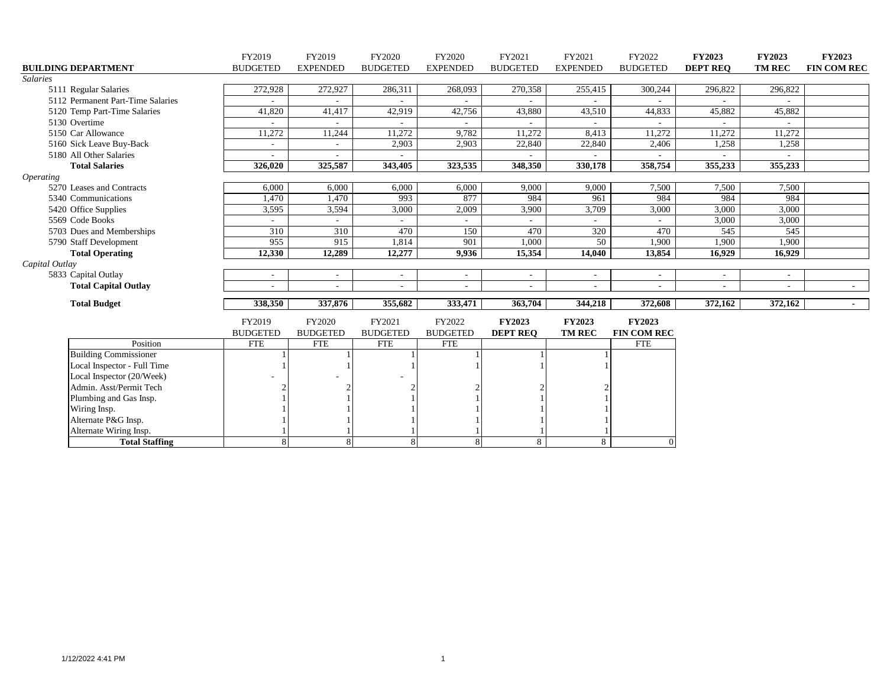|                                   | FY2019                   | FY2019          | FY2020          | FY2020          | FY2021          | FY2021                   | FY2022             | FY2023          | <b>FY2023</b> | FY2023             |
|-----------------------------------|--------------------------|-----------------|-----------------|-----------------|-----------------|--------------------------|--------------------|-----------------|---------------|--------------------|
| <b>BUILDING DEPARTMENT</b>        | <b>BUDGETED</b>          | <b>EXPENDED</b> | <b>BUDGETED</b> | <b>EXPENDED</b> | <b>BUDGETED</b> | <b>EXPENDED</b>          | <b>BUDGETED</b>    | <b>DEPT REQ</b> | <b>TM REC</b> | <b>FIN COM REC</b> |
| <b>Salaries</b>                   |                          |                 |                 |                 |                 |                          |                    |                 |               |                    |
| 5111 Regular Salaries             | 272,928                  | 272,927         | 286,311         | 268,093         | 270,358         | 255,415                  | 300,244            | 296,822         | 296,822       |                    |
| 5112 Permanent Part-Time Salaries |                          |                 |                 |                 |                 |                          |                    |                 |               |                    |
| 5120 Temp Part-Time Salaries      | 41,820                   | 41,417          | 42,919          | 42,756          | 43,880          | 43,510                   | 44,833             | 45,882          | 45,882        |                    |
| 5130 Overtime                     |                          |                 |                 |                 |                 |                          |                    |                 |               |                    |
| 5150 Car Allowance                | 11,272                   | 11,244          | 11,272          | 9,782           | 11,272          | 8,413                    | 11,272             | 11,272          | 11,272        |                    |
| 5160 Sick Leave Buy-Back          | $\overline{\phantom{a}}$ |                 | 2,903           | 2,903           | 22,840          | 22,840                   | 2,406              | 1,258           | 1,258         |                    |
| 5180 All Other Salaries           | $\overline{\phantom{a}}$ |                 |                 |                 |                 |                          |                    |                 |               |                    |
| <b>Total Salaries</b>             | 326,020                  | 325,587         | 343,405         | 323,535         | 348,350         | 330,178                  | 358,754            | 355,233         | 355,233       |                    |
| <i><b>Operating</b></i>           |                          |                 |                 |                 |                 |                          |                    |                 |               |                    |
| 5270 Leases and Contracts         | 6,000                    | 6,000           | 6,000           | 6,000           | 9,000           | 9,000                    | 7,500              | 7,500           | 7,500         |                    |
| 5340 Communications               | 1,470                    | 1,470           | 993             | 877             | 984             | 961                      | 984                | 984             | 984           |                    |
| 5420 Office Supplies              | 3,595                    | 3,594           | 3,000           | 2,009           | 3,900           | 3,709                    | 3,000              | 3,000           | 3,000         |                    |
| 5569 Code Books                   |                          |                 |                 |                 |                 |                          |                    | 3,000           | 3,000         |                    |
| 5703 Dues and Memberships         | 310                      | 310             | 470             | 150             | 470             | 320                      | 470                | 545             | 545           |                    |
| 5790 Staff Development            | 955                      | 915             | 1,814           | 901             | 1,000           | 50                       | 1,900              | 1,900           | 1,900         |                    |
| <b>Total Operating</b>            | 12,330                   | 12,289          | 12,277          | 9,936           | 15,354          | 14,040                   | 13,854             | 16,929          | 16,929        |                    |
| Capital Outlay                    |                          |                 |                 |                 |                 |                          |                    |                 |               |                    |
| 5833 Capital Outlay               | $\overline{\phantom{a}}$ |                 |                 | $\sim$          |                 | $\sim$                   | $\sim$             | $\sim$          |               |                    |
| <b>Total Capital Outlay</b>       |                          | $\sim$          | ٠               | $\sim$          |                 | $\overline{\phantom{a}}$ | ٠                  | $\sim$          |               | $\sim$             |
| <b>Total Budget</b>               | 338,350                  | 337,876         | 355,682         | 333,471         | 363,704         | 344,218                  | 372,608            | 372,162         | 372,162       | $\sim 100$         |
|                                   |                          |                 |                 |                 |                 |                          |                    |                 |               |                    |
|                                   | FY2019                   | FY2020          | FY2021          | FY2022          | <b>FY2023</b>   | <b>FY2023</b>            | <b>FY2023</b>      |                 |               |                    |
|                                   | <b>BUDGETED</b>          | <b>BUDGETED</b> | <b>BUDGETED</b> | <b>BUDGETED</b> | <b>DEPT REQ</b> | <b>TM REC</b>            | <b>FIN COM REC</b> |                 |               |                    |
| Position                          | <b>FTE</b>               | <b>FTE</b>      | <b>FTE</b>      | <b>FTE</b>      |                 |                          | <b>FTE</b>         |                 |               |                    |
| <b>Building Commissioner</b>      |                          |                 |                 |                 |                 |                          |                    |                 |               |                    |
| Local Inspector - Full Time       |                          |                 |                 |                 |                 |                          |                    |                 |               |                    |
| Local Inspector (20/Week)         |                          |                 |                 |                 |                 |                          |                    |                 |               |                    |
| Admin. Asst/Permit Tech           |                          |                 | $\mathcal{D}$   |                 |                 |                          |                    |                 |               |                    |
| Plumbing and Gas Insp.            |                          |                 |                 |                 |                 |                          |                    |                 |               |                    |
| Wiring Insp.                      |                          |                 |                 |                 |                 |                          |                    |                 |               |                    |
| Alternate P&G Insp.               |                          |                 |                 |                 |                 |                          |                    |                 |               |                    |
| Alternate Wiring Insp.            |                          |                 |                 |                 |                 |                          |                    |                 |               |                    |
| <b>Total Staffing</b>             |                          | $\mathbf{R}$    | 8               | $\mathbf{R}$    | 8               | 8                        | $\Omega$           |                 |               |                    |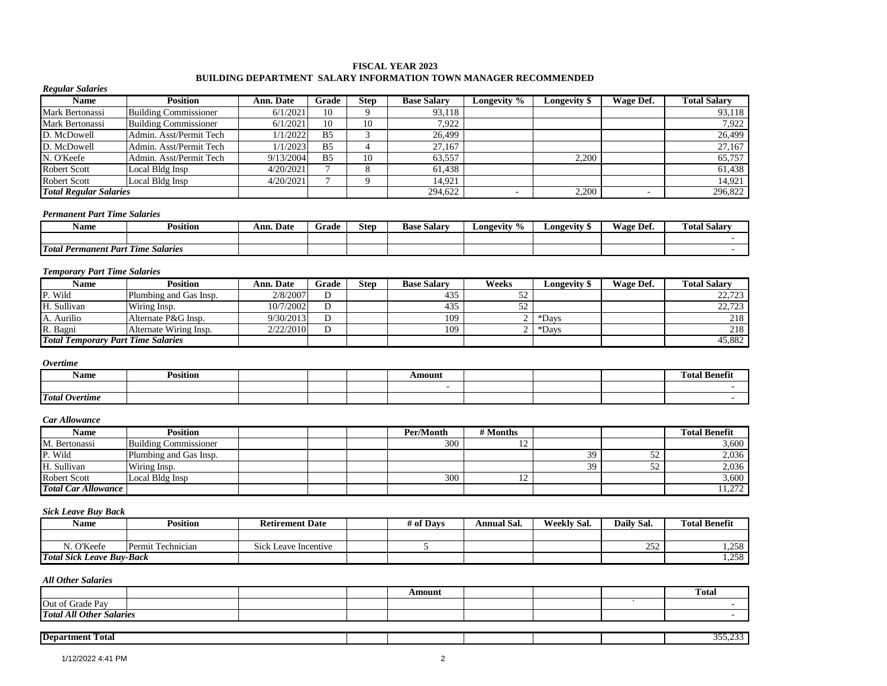#### **FISCAL YEAR 2023 BUILDING DEPARTMENT SALARY INFORMATION TOWN MANAGER RECOMMENDED**

| <b>Name</b>                                 | <b>Position</b>              | Ann. Date              | Grade          | <b>Step</b>    | <b>Base Salary</b> | Longevity %        | Longevity \$       | Wage Def.  | <b>Total Salary</b>  |
|---------------------------------------------|------------------------------|------------------------|----------------|----------------|--------------------|--------------------|--------------------|------------|----------------------|
| Mark Bertonassi                             | <b>Building Commissioner</b> | 6/1/2021               | 10             | 9              | 93,118             |                    |                    |            | 93,118               |
| Mark Bertonassi                             | <b>Building Commissioner</b> | 6/1/2021               | 10             | 10             | 7,922              |                    |                    |            | 7,922                |
| D. McDowell                                 | Admin. Asst/Permit Tech      | 1/1/2022               | B <sub>5</sub> | 3              | 26,499             |                    |                    |            | 26,499               |
| D. McDowell                                 | Admin. Asst/Permit Tech      | 1/1/2023               | B <sub>5</sub> | $\overline{4}$ | 27,167             |                    |                    |            | 27,167               |
| N. O'Keefe                                  | Admin. Asst/Permit Tech      | 9/13/2004              | B <sub>5</sub> | 10             | 63,557             |                    | 2,200              |            | 65,757               |
| <b>Robert Scott</b>                         | Local Bldg Insp              | 4/20/2021              | $\tau$         | 8              | 61,438             |                    |                    |            | 61,438               |
| <b>Robert Scott</b>                         | Local Bldg Insp              | 4/20/2021              | $\tau$         | 9              | 14.921             |                    |                    |            | 14,921               |
| <b>Total Regular Salaries</b>               |                              |                        |                |                | 294,622            | $\sim$             | 2,200              | ÷.         | 296,822              |
| <b>Permanent Part Time Salaries</b>         |                              |                        |                |                |                    |                    |                    |            |                      |
| <b>Name</b>                                 | <b>Position</b>              | Ann. Date              | Grade          | <b>Step</b>    | <b>Base Salary</b> | Longevity %        | Longevity \$       | Wage Def.  | <b>Total Salary</b>  |
| <b>Total Permanent Part Time Salaries</b>   |                              |                        |                |                |                    |                    |                    |            |                      |
|                                             |                              |                        |                |                |                    |                    |                    |            |                      |
| <b>Temporary Part Time Salaries</b><br>Name | <b>Position</b>              | Ann. Date              | Grade          | <b>Step</b>    | <b>Base Salary</b> | Weeks              | Longevity \$       | Wage Def.  | <b>Total Salary</b>  |
| P. Wild                                     | Plumbing and Gas Insp.       | 2/8/2007               | D              |                | 435                | 52                 |                    |            | 22,723               |
| H. Sullivan                                 | Wiring Insp.                 | 10/7/2002              | D              |                | 435                | 52                 |                    |            | $\overline{22,723}$  |
| A. Aurilio                                  | Alternate P&G Insp.          | 9/30/2013              | ${\bf D}$      |                | 109                | $\overline{2}$     | $\overline{D}$ ays |            | 218                  |
| R. Bagni                                    | Alternate Wiring Insp.       | 2/22/2010              | D              |                | 109                | $\overline{2}$     | *Days              |            | 218                  |
| <b>Total Temporary Part Time Salaries</b>   |                              |                        |                |                |                    |                    |                    |            | 45,882               |
|                                             |                              |                        |                |                |                    |                    |                    |            |                      |
| <b>Overtime</b>                             |                              |                        |                |                |                    |                    |                    |            |                      |
| <b>Name</b>                                 | <b>Position</b>              |                        |                |                | Amount             |                    |                    |            | <b>Total Benefit</b> |
|                                             |                              |                        |                |                | $\sim$             |                    |                    |            |                      |
| <b>Total Overtime</b>                       |                              |                        |                |                |                    |                    |                    |            |                      |
| Car Allowance                               |                              |                        |                |                |                    |                    |                    |            |                      |
| <b>Name</b>                                 | <b>Position</b>              |                        |                |                | Per/Month          | # Months           |                    |            | <b>Total Benefit</b> |
| M. Bertonassi                               | <b>Building Commissioner</b> |                        |                |                | 300                | 12                 |                    |            | 3,600                |
| P. Wild                                     | Plumbing and Gas Insp.       |                        |                |                |                    |                    | 39                 | 52         | 2,036                |
| H. Sullivan                                 | Wiring Insp.                 |                        |                |                |                    |                    | 39                 | 52         | 2,036                |
| <b>Robert Scott</b>                         | Local Bldg Insp              |                        |                |                | 300                | 12                 |                    |            | 3,600                |
| <b>Total Car Allowance</b>                  |                              |                        |                |                |                    |                    |                    |            | 11,272               |
|                                             |                              |                        |                |                |                    |                    |                    |            |                      |
| <b>Sick Leave Buy Back</b>                  | <b>Position</b>              |                        |                |                |                    |                    |                    |            | <b>Total Benefit</b> |
| <b>Name</b>                                 |                              | <b>Retirement Date</b> |                |                | # of Days          | <b>Annual Sal.</b> | <b>Weekly Sal.</b> | Daily Sal. |                      |
| N. O'Keefe                                  | Permit Technician            | Sick Leave Incentive   |                |                | 5                  |                    |                    | 252        | 1,258                |
| <b>Total Sick Leave Buy-Back</b>            |                              |                        |                |                |                    |                    |                    |            | 1,258                |
| <b>All Other Salaries</b>                   |                              |                        |                |                |                    |                    |                    |            |                      |
|                                             |                              |                        |                |                | A mount            |                    |                    |            | Total                |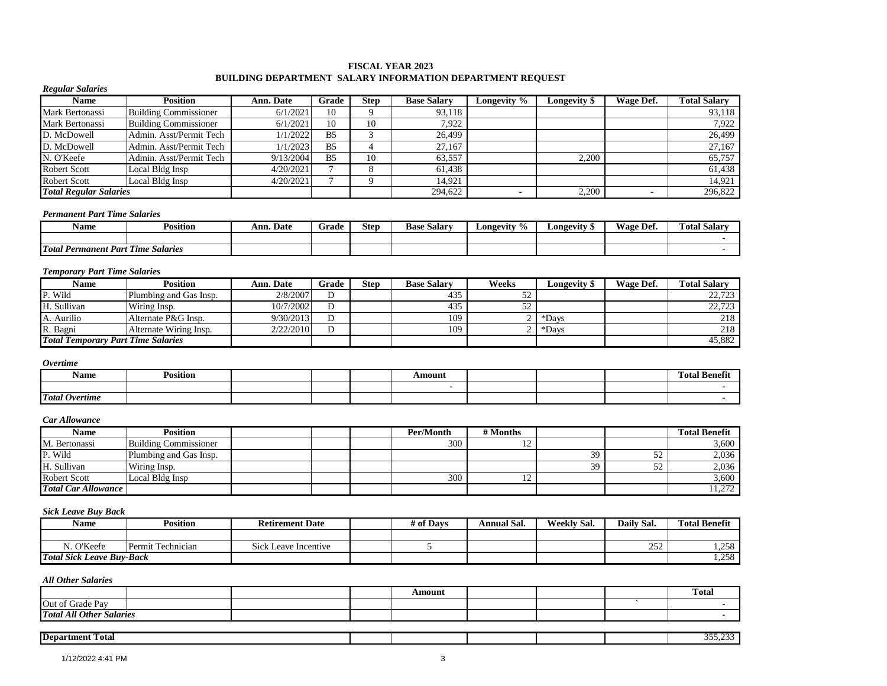### **FISCAL YEAR 2023 BUILDING DEPARTMENT SALARY INFORMATION DEPARTMENT REQUEST**

| <b>Position</b>                                       | <b>Ann. Date</b>                                                                                                                     | Grade           | <b>Step</b>    | <b>Base Salary</b> | Longevity %              | <b>Longevity</b> \$ | Wage Def.             | <b>Total Salary</b>              |
|-------------------------------------------------------|--------------------------------------------------------------------------------------------------------------------------------------|-----------------|----------------|--------------------|--------------------------|---------------------|-----------------------|----------------------------------|
| <b>Building Commissioner</b>                          | 6/1/2021                                                                                                                             | 10              | 9              | 93,118             |                          |                     |                       | 93,118                           |
| <b>Building Commissioner</b>                          | 6/1/2021                                                                                                                             | 10              |                | 7,922              |                          |                     |                       | 7,922                            |
| Admin. Asst/Permit Tech                               | 1/1/2022                                                                                                                             | $\overline{B5}$ | 3              | 26.499             |                          |                     |                       | 26,499                           |
| Admin. Asst/Permit Tech                               | 1/1/2023                                                                                                                             | B <sub>5</sub>  | $\overline{4}$ | 27.167             |                          |                     |                       | 27.167                           |
| Admin. Asst/Permit Tech                               |                                                                                                                                      | B <sub>5</sub>  | 10             |                    |                          | 2,200               |                       | 65,757                           |
| Local Bldg Insp                                       | 4/20/2021                                                                                                                            | $\overline{7}$  | 8              | 61,438             |                          |                     |                       | 61,438                           |
| Local Bldg Insp                                       | 4/20/2021                                                                                                                            | $\overline{7}$  | 9              | 14,921             |                          |                     |                       | 14.921                           |
| <b>Total Regular Salaries</b>                         |                                                                                                                                      |                 |                | 294,622            | $\overline{\phantom{a}}$ | 2,200               |                       | 296,822                          |
| <b>Permanent Part Time Salaries</b>                   |                                                                                                                                      |                 |                |                    |                          |                     |                       |                                  |
| <b>Position</b>                                       | Ann. Date                                                                                                                            | Grade           | <b>Step</b>    | <b>Base Salary</b> | Longevity %              | Longevity \$        | Wage Def.             | <b>Total Salary</b>              |
|                                                       |                                                                                                                                      |                 |                |                    |                          |                     |                       |                                  |
|                                                       |                                                                                                                                      |                 |                |                    |                          |                     |                       |                                  |
| <b>Temporary Part Time Salaries</b>                   |                                                                                                                                      |                 |                |                    |                          |                     |                       |                                  |
| <b>Position</b>                                       | Ann. Date                                                                                                                            | Grade           |                | <b>Base Salary</b> | Weeks                    |                     |                       | <b>Total Salary</b>              |
|                                                       | 2/8/2007                                                                                                                             | D               |                | 435                |                          |                     |                       | 22,723                           |
|                                                       | 10/7/2002                                                                                                                            | $\overline{D}$  |                | 435                | 52                       |                     |                       | 22,723                           |
|                                                       | 9/30/2013                                                                                                                            | D               |                | 109                |                          | *Days               |                       | 218                              |
|                                                       | 2/22/2010                                                                                                                            | D               |                | 109                | 2                        |                     |                       | 218                              |
| <b>Total Temporary Part Time Salaries</b>             |                                                                                                                                      |                 |                |                    |                          |                     |                       | 45,882                           |
|                                                       |                                                                                                                                      |                 |                |                    |                          |                     |                       |                                  |
|                                                       |                                                                                                                                      |                 |                |                    |                          |                     |                       |                                  |
|                                                       |                                                                                                                                      |                 |                |                    |                          |                     |                       |                                  |
| <b>Position</b>                                       |                                                                                                                                      |                 |                | Amount             |                          |                     |                       | <b>Total Benefit</b>             |
|                                                       |                                                                                                                                      |                 |                | $\sim$             |                          |                     |                       |                                  |
|                                                       |                                                                                                                                      |                 |                |                    |                          |                     |                       |                                  |
|                                                       |                                                                                                                                      |                 |                |                    |                          |                     |                       |                                  |
| <b>Position</b>                                       |                                                                                                                                      |                 |                | Per/Month          | # Months                 |                     |                       | <b>Total Benefit</b>             |
| <b>Building Commissioner</b>                          |                                                                                                                                      |                 |                | 300                | 12                       |                     |                       |                                  |
| Plumbing and Gas Insp.                                |                                                                                                                                      |                 |                |                    |                          | 39                  | $\overline{52}$       |                                  |
| Wiring Insp.                                          |                                                                                                                                      |                 |                |                    |                          | 39                  | $\overline{52}$       |                                  |
| Local Bldg Insp                                       |                                                                                                                                      |                 |                | 300                | 12                       |                     |                       | 3,600<br>2,036<br>2,036<br>3,600 |
| <b>Total Car Allowance</b>                            |                                                                                                                                      |                 |                |                    |                          |                     |                       | 11,272                           |
|                                                       |                                                                                                                                      |                 |                |                    |                          |                     |                       |                                  |
| <b>Sick Leave Buy Back</b><br><b>Position</b>         | <b>Retirement Date</b>                                                                                                               |                 |                | # of Days          | <b>Annual Sal.</b>       | <b>Weekly Sal.</b>  | Daily Sal.            | <b>Total Benefit</b>             |
|                                                       |                                                                                                                                      |                 |                |                    |                          |                     |                       |                                  |
| Permit Technician<br><b>Total Sick Leave Buv-Back</b> | Sick Leave Incentive                                                                                                                 |                 |                | 5                  |                          |                     | 252                   | 1,258                            |
|                                                       | <b>Total Permanent Part Time Salaries</b><br>Plumbing and Gas Insp.<br>Wiring Insp.<br>Alternate P&G Insp.<br>Alternate Wiring Insp. | 9/13/2004       |                | 10<br><b>Step</b>  | 63,557                   | 52<br>$\sqrt{2}$    | Longevity \$<br>*Days | Wage Def.                        |

*All Other Salaries* Amount 1 amount 1 amount 1 amount 1 amount 1 amount 1 amount 1 amount 1 amount 1 amount 1 amount 1 amount 1 amount 1 amount 1 amount 1 amount 1 amount 1 amount 1 amount 1 amount 1 amount 1 amount 1 amount 1 amount 1 amount Out of Grade Pay **but of Grade Pay and Contact Contact Contact Contact Contact Contact Contact Contact Contact Contact Contact Contact Contact Contact Contact Contact Contact Contact Contact Contact Contact Contact Contact** *Total All Other Salaries* - **Department Total** 355,233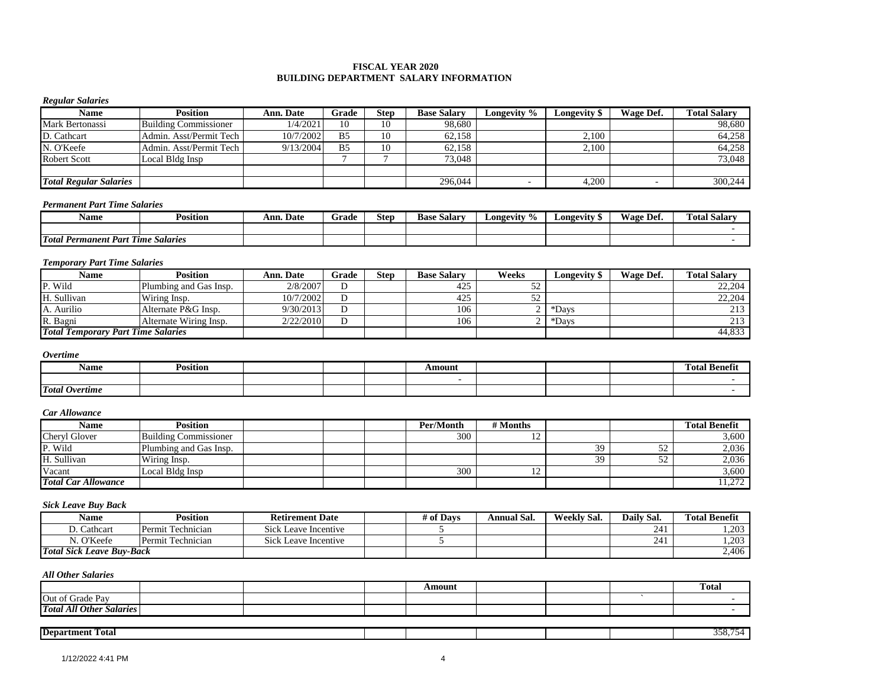#### **FISCAL YEAR 2020 BUILDING DEPARTMENT SALARY INFORMATION**

### *Regular Salaries*

| Name                          | Position                     | <b>Ann. Date</b> | Grade          | <b>Step</b> | <b>Base Salary</b> | Longevity % | <b>Longevity S</b> | Wage Def. | <b>Total Salarv</b> |
|-------------------------------|------------------------------|------------------|----------------|-------------|--------------------|-------------|--------------------|-----------|---------------------|
| Mark Bertonassi               | <b>Building Commissioner</b> | 1/4/2021         | 10             | 10          | 98,680             |             |                    |           | 98,680              |
| D. Cathcart                   | Admin. Asst/Permit Tech      | 10/7/2002        | B <sub>5</sub> | 10          | 62,158             |             | 2,100              |           | 64,258              |
| N. O'Keefe                    | Admin. Asst/Permit Tech      | 9/13/2004        | B <sub>5</sub> | 10          | 62.158             |             | 2,100              |           | 64.258              |
| <b>Robert Scott</b>           | Local Bldg Insp              |                  |                |             | 73,048             |             |                    |           | 73,048              |
|                               |                              |                  |                |             |                    |             |                    |           |                     |
| <b>Total Regular Salaries</b> |                              |                  |                |             | 296,044            |             | 4,200              |           | 300,244             |

### *Permanent Part Time Salaries*

| Name                                                          | Position      | Ann. Date | Grade | Step | <b>Base</b><br>Salarv | $\frac{9}{6}$<br>Longevity | Longevity " | <b>Wage Dei.</b> | m<br><b>Fotal Salarv</b> |
|---------------------------------------------------------------|---------------|-----------|-------|------|-----------------------|----------------------------|-------------|------------------|--------------------------|
|                                                               |               |           |       |      |                       |                            |             |                  |                          |
| <b>T</b> otal<br>$\cdot$ <sup>1</sup> Permanent Part 1<br>$-$ | Time Salaries |           |       |      |                       |                            |             |                  |                          |

#### *Temporary Part Time Salaries*

| Name                                      | Position               | Ann. Date | Grade  | <b>Step</b> | <b>Base Salary</b> | Weeks     | Longevity : | Wage Def. | <b>Total Salarv</b> |
|-------------------------------------------|------------------------|-----------|--------|-------------|--------------------|-----------|-------------|-----------|---------------------|
| P. Wild                                   | Plumbing and Gas Insp. | 2/8/2007  | D      |             | 425                | 57<br>ے ر |             |           | 22,204              |
| H. Sullivan                               | Wiring Insp.           | 10/7/2002 | D      |             | 425                | ے ر       |             |           | 22,204              |
| A. Aurilio                                | Alternate P&G Insp.    | 9/30/2013 | D      |             | 106                |           | *Days       |           | 213                 |
| R. Bagni                                  | Alternate Wiring Insp. | 2/22/2010 | D<br>◡ |             | 106                |           | *Days       |           | 213                 |
| <b>Total Temporary Part Time Salaries</b> |                        |           |        |             |                    |           |             |           | 44,833              |

#### *Overtime*

| Name                  | <b>Position</b> |  | Amount |  | --<br>. .<br>l otal |
|-----------------------|-----------------|--|--------|--|---------------------|
|                       |                 |  |        |  |                     |
| <b>Total Overtime</b> |                 |  |        |  |                     |

#### *Car Allowance*

| Name                       | <b>Position</b>              |  | Per/Month | # Months       |    |     | <b>Total Benefit</b> |
|----------------------------|------------------------------|--|-----------|----------------|----|-----|----------------------|
| Cheryl Glover              | <b>Building Commissioner</b> |  | 300       | $\overline{ }$ |    |     | 3,600                |
| P. Wild                    | Plumbing and Gas Insp.       |  |           |                | 39 | ے ت | 2,036                |
| H. Sullivan                | Wiring Insp.                 |  |           |                | 39 | 52  | 2,036                |
| Vacant                     | Local Bldg Insp              |  | 300       | $\overline{1}$ |    |     | 3,600                |
| <b>Total Car Allowance</b> |                              |  |           |                |    |     | 11,272               |

#### *Sick Leave Buy Back*

| Name                             | Position          | <b>Retirement Date</b>    | 4 of Davs | Annual Sal. | Weekly Sal. | Daily Sal. | <b>Total Benefit</b> |
|----------------------------------|-------------------|---------------------------|-----------|-------------|-------------|------------|----------------------|
| Cathcart                         | Permit Technician | Sick<br>: Leave Incentive |           |             |             |            | .203                 |
| N. O'Keefe                       | Permit Technician | Sick<br>: Leave Incentive |           |             |             |            | . 203                |
| <b>Total Sick Leave Buy-Back</b> |                   |                           |           |             |             |            | 2,406                |

### *All Other Salaries*

|                                                   |  | Amount |  | <b>Total</b> |
|---------------------------------------------------|--|--------|--|--------------|
| Out of<br>Grade Pav                               |  |        |  |              |
| <sup>1</sup> U Other Salaries<br><b>Total All</b> |  |        |  |              |

## **Department Total** 358,754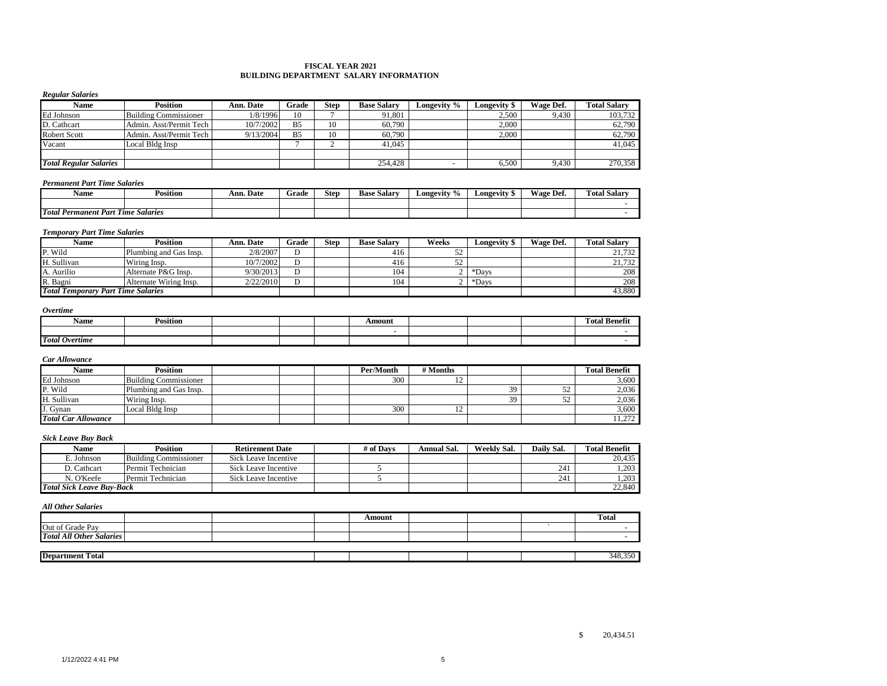#### **FISCAL YEAR 2021 BUILDING DEPARTMENT SALARY INFORMATION**

#### *Regular Salaries*

| Name                          | <b>Position</b>              | Ann. Date | Grade          | Step | <b>Base Salary</b> | Longevity % | Longevity \$ | Wage Def. | <b>Total Salarv</b> |
|-------------------------------|------------------------------|-----------|----------------|------|--------------------|-------------|--------------|-----------|---------------------|
| Ed Johnson                    | <b>Building Commissioner</b> | 1/8/1996  | 10             |      | 91,801             |             | 2,500        | 9.430     | 103,732             |
| D. Cathcart                   | Admin. Asst/Permit Tech      | 10/7/2002 | B <sub>5</sub> | 10   | 60.790             |             | 2.000        |           | 62,790              |
| <b>Robert Scott</b>           | Admin. Asst/Permit Tech      | 9/13/2004 | B <sub>5</sub> | 10   | 60,790             |             | 2.000        |           | 62,790              |
| Vacant                        | Local Bldg Insp              |           |                |      | 41.045             |             |              |           | 41.045              |
|                               |                              |           |                |      |                    |             |              |           |                     |
| <b>Total Regular Salaries</b> |                              |           |                |      | 254,428            |             | 6,500        | 9.430     | 270,358             |

#### *Permanent Part Time Salaries*

| Name                                  | Position                | Ann. Date | Grade | <b>Step</b> | <b>Base</b><br>Salary | $\frac{9}{6}$<br>Longevity | Longevity " | Wage.<br>Def. | $\mathbf{r}$<br>m<br><b>Total Salary</b> |
|---------------------------------------|-------------------------|-----------|-------|-------------|-----------------------|----------------------------|-------------|---------------|------------------------------------------|
|                                       |                         |           |       |             |                       |                            |             |               |                                          |
| <b>Total Permanent Part</b><br>$\sim$ | <b>Salaries</b><br>Time |           |       |             |                       |                            |             |               |                                          |

#### *Temporary Part Time Salaries*

| Name                                      | <b>Position</b>        | Ann. Date | Grade | Step | <b>Base Salary</b> | Weeks     | <b>Longevity \$</b> | Wage Def. | <b>Total Salary</b> |
|-------------------------------------------|------------------------|-----------|-------|------|--------------------|-----------|---------------------|-----------|---------------------|
| P. Wild                                   | Plumbing and Gas Insp. | 2/8/2007  |       |      | 416                | 50<br>ے ر |                     |           | 21.732              |
| H. Sullivan                               | Wiring Insp.           | 10/7/2002 |       |      | 416                | ے ر       |                     |           | 21.732              |
| A. Aurilio                                | Alternate P&G Insp.    | 9/30/2013 |       |      | 104                |           | *Davs               |           | 208                 |
| R. Bagni                                  | Alternate Wiring Insp. | 2/22/2010 |       |      | 104                |           | *Davs               |           | 208                 |
| <b>Total Temporary Part Time Salaries</b> |                        |           |       |      |                    |           |                     |           | 43.880              |

#### *Overtime*

| Name                  | $\cdots$<br>Position |  | Amount |  | -68<br>Total Benefit) |
|-----------------------|----------------------|--|--------|--|-----------------------|
|                       |                      |  |        |  |                       |
| <b>Total Overtime</b> |                      |  |        |  |                       |

#### *Car Allowance*

| Name                       | <b>Position</b>              |  | Per/Month | # Months       |    |                   | <b>Total Benefit</b> |
|----------------------------|------------------------------|--|-----------|----------------|----|-------------------|----------------------|
| Ed Johnson                 | <b>Building Commissioner</b> |  | 300       | $\overline{1}$ |    |                   | 3.600                |
| P. Wild                    | Plumbing and Gas Insp.       |  |           |                |    | 24                | 2,036                |
| H. Sullivan                | Wiring Insp.                 |  |           |                | 30 | $\epsilon$<br>JZ. | 2.036                |
| J. Gynan                   | Local Bldg Insp              |  | 300       | ∸              |    |                   | 3,600                |
| <b>Total Car Allowance</b> |                              |  |           |                |    |                   | 11.272               |

### *Sick Leave Buy Back*

| Name                             | Position              | <b>Retirement Date</b> | # of Davs | Annual Sal. | Weekly Sal. | Daily Sal. | <b>Total Benefit</b> |
|----------------------------------|-----------------------|------------------------|-----------|-------------|-------------|------------|----------------------|
| . Johnson                        | Building Commissioner | Sick Leave Incentive   |           |             |             |            | 20.435               |
| D. Cathcart                      | Permit Technician     | Sick Leave Incentive   |           |             |             | 241        | 1.203                |
| N. O'Keefe                       | Permit Technician     | Sick Leave Incentive   |           |             |             | 241        | 1.203                |
| <b>Total Sick Leave Buv-Back</b> |                       |                        |           |             |             |            | 22,840               |

#### *All Other Salaries*

|                                 |  | Amount |  | <b>Total</b> |
|---------------------------------|--|--------|--|--------------|
| Out of Grade Pay                |  |        |  |              |
| <b>Total All Other Salaries</b> |  |        |  |              |
|                                 |  |        |  |              |
| <b>Department Total</b>         |  |        |  | 348,350      |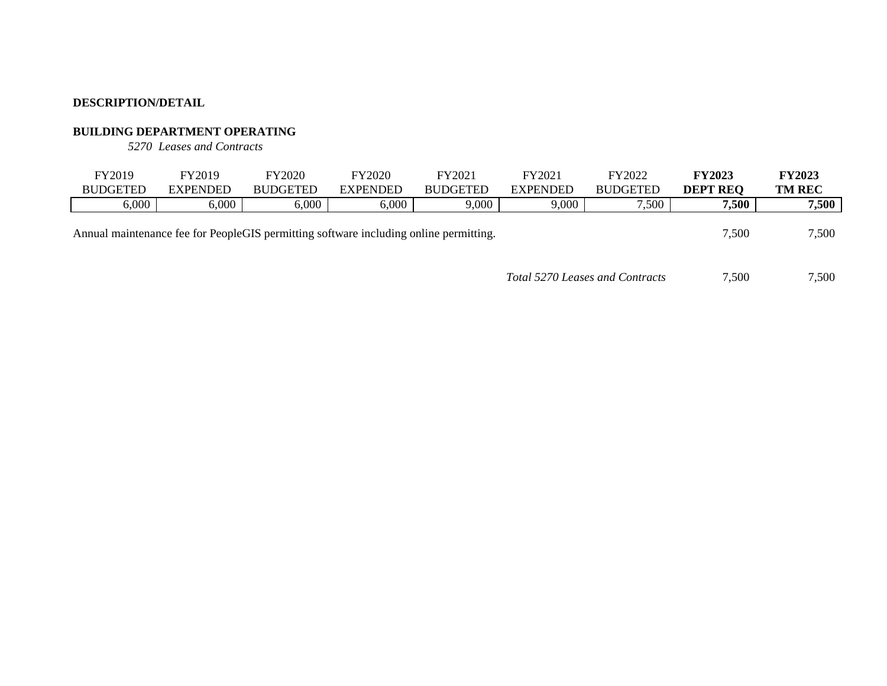### **BUILDING DEPARTMENT OPERATING**

*5270 Leases and Contracts*

| FY2019<br><b>BUDGETED</b>                                                                      | FY2019<br><b>EXPENDED</b> | FY2020<br><b>BUDGETED</b> | FY2020<br><b>EXPENDED</b> | FY2021<br><b>BUDGETED</b> | FY2021<br><b>EXPENDED</b> | FY2022<br><b>BUDGETED</b> | <b>FY2023</b><br><b>DEPT REO</b> | <b>FY2023</b><br><b>TM REC</b> |
|------------------------------------------------------------------------------------------------|---------------------------|---------------------------|---------------------------|---------------------------|---------------------------|---------------------------|----------------------------------|--------------------------------|
| 6,000                                                                                          | 6,000                     | $6.000\,$                 | 6,000                     | 9,000                     | 9,000                     | 7,500                     | 7,500                            | 7,500                          |
| 7,500<br>Annual maintenance fee for PeopleGIS permitting software including online permitting. |                           |                           |                           |                           |                           |                           |                                  |                                |

*Total 5270 Leases and Contracts* 7,500 7,500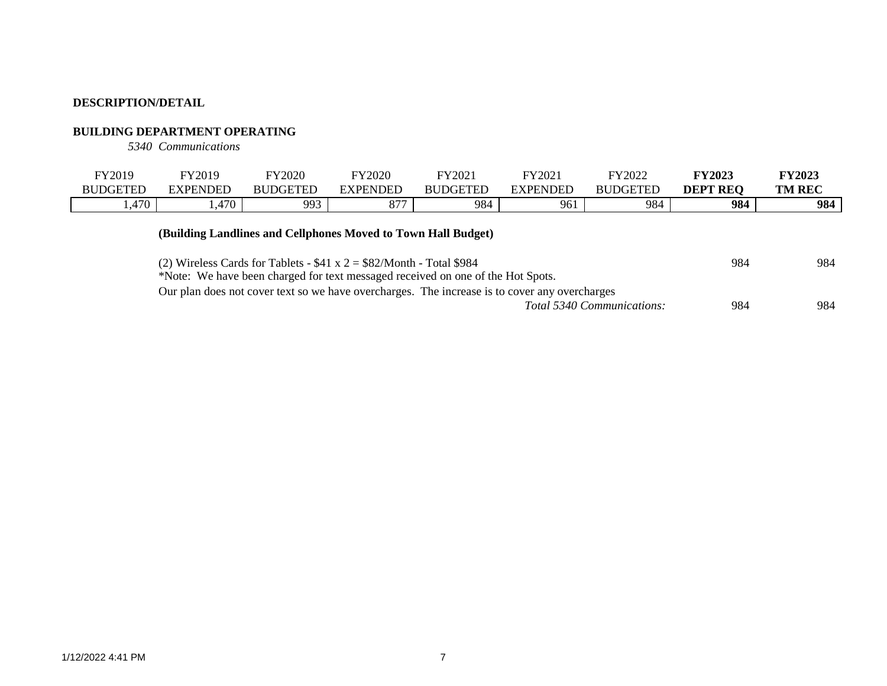### **BUILDING DEPARTMENT OPERATING**

*5340 Communications*

| FY2019          | FY2019                        | FY2020          | Y2020            | FY2021          | FY2021          | FY2022          | <b>FY2023</b>   | <b>FY2023</b> |
|-----------------|-------------------------------|-----------------|------------------|-----------------|-----------------|-----------------|-----------------|---------------|
| <b>BUDGETED</b> | <b>EXPENDED</b>               | <b>BUDGETED</b> | <b>EXPENDED</b>  | <b>BUDGETED</b> | <b>EXPENDED</b> | <b>BUDGETED</b> | <b>DEPT REO</b> | <b>TM REC</b> |
| 1,470           | 170<br>$\cdot$ . T $\prime$ V | 993             | 077<br>$\circ$ / | 984             | 961             | 984             | 984             | 984           |
|                 |                               |                 |                  |                 |                 |                 |                 |               |

### **(Building Landlines and Cellphones Moved to Town Hall Budget)**

| (2) Wireless Cards for Tablets - $$41 x 2 = $82/M \text{onth}$ - Total \$984                  | 984 | 984 |
|-----------------------------------------------------------------------------------------------|-----|-----|
| *Note: We have been charged for text messaged received on one of the Hot Spots.               |     |     |
| Our plan does not cover text so we have overcharges. The increase is to cover any overcharges |     |     |
| Total 5340 Communications:                                                                    | 984 | 984 |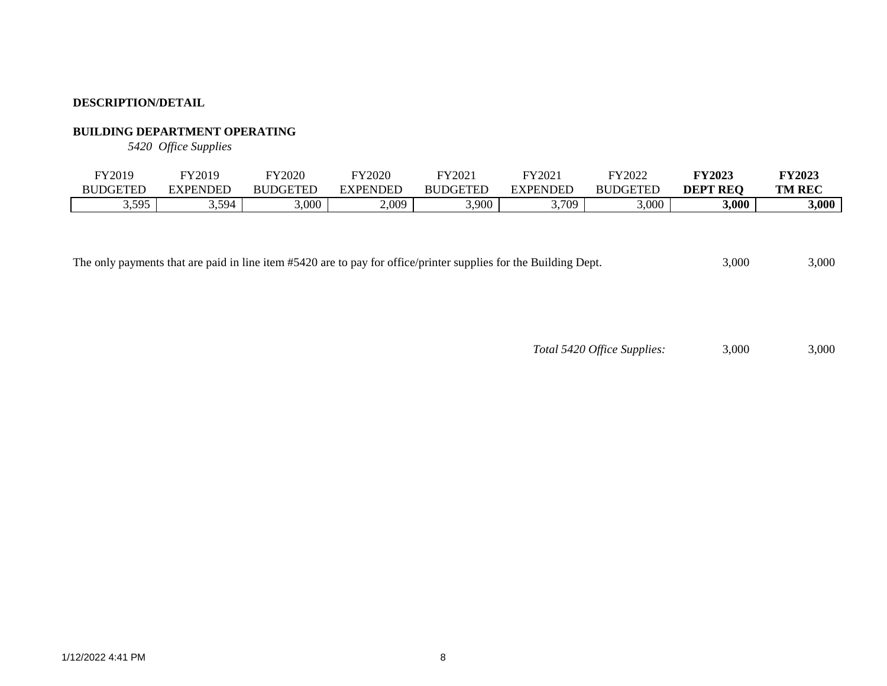## **BUILDING DEPARTMENT OPERATING**

*5420 Office Supplies*

| FY2019          | FY2019      | FY2020          | FY2020  | FY2021          | $E V \cap \Omega$<br>202 | いいつのつつ<br>2022       | <b>FY2023</b>   | <b>FY2023</b> |
|-----------------|-------------|-----------------|---------|-----------------|--------------------------|----------------------|-----------------|---------------|
| <b>BUDGETED</b> | EXPENDED    | <b>BUDGETED</b> | XPENDEL | <b>BUDGETED</b> | <b>EXPENDED</b>          | DGETEE<br><b>BUT</b> | <b>DEPT REQ</b> | <b>TM REC</b> |
| 3,595           | 594<br>ン・ンノ | ,000            | 2,009   | 3,900           | ,709                     | 3,000                | 3,000           | 3,000         |

The only payments that are paid in line item #5420 are to pay for office/printer supplies for the Building Dept. 3,000 3,000 3,000

*Total 5420 Office Supplies:* 3,000 3,000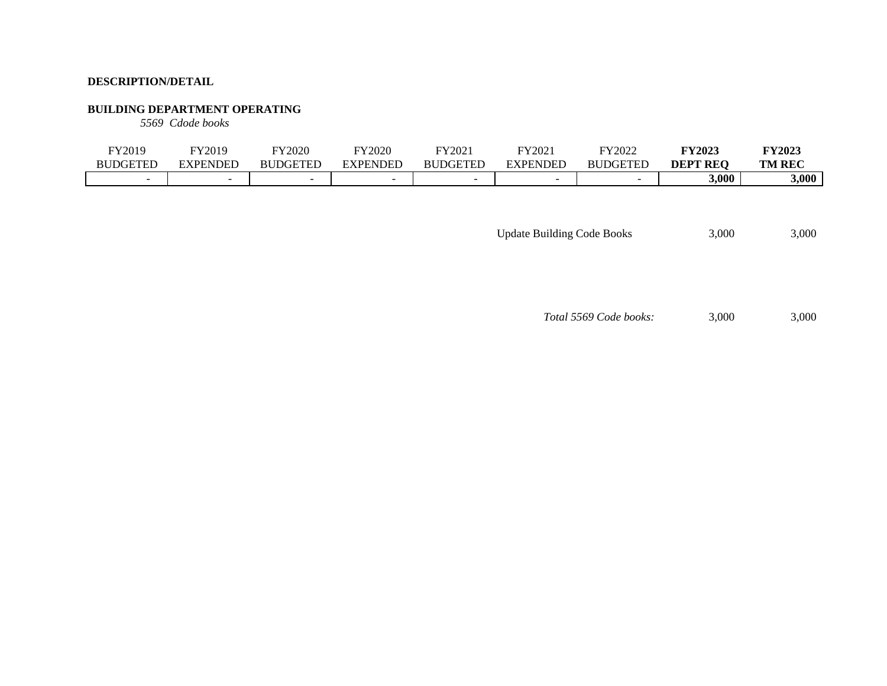### **BUILDING DEPARTMENT OPERATING**

*5569 Cdode books*

| FY2019          | FY2019   | FY2020          | FY2020   | FY2021          | FY2021          | FY2022                   | <b>FY2023</b>   | <b>FY2023</b> |
|-----------------|----------|-----------------|----------|-----------------|-----------------|--------------------------|-----------------|---------------|
| <b>BUDGETED</b> | EXPENDED | <b>BUDGETED</b> | EXPENDED | <b>BUDGETED</b> | <b>EXPENDED</b> | <b>BUDGETED</b>          | <b>DEPT REO</b> | <b>TM REC</b> |
|                 | $\sim$   |                 |          |                 | -               | $\overline{\phantom{0}}$ | 3,000           | 3,000         |

Update Building Code Books 3,000 3,000

*Total 5569 Code books:* 3,000 3,000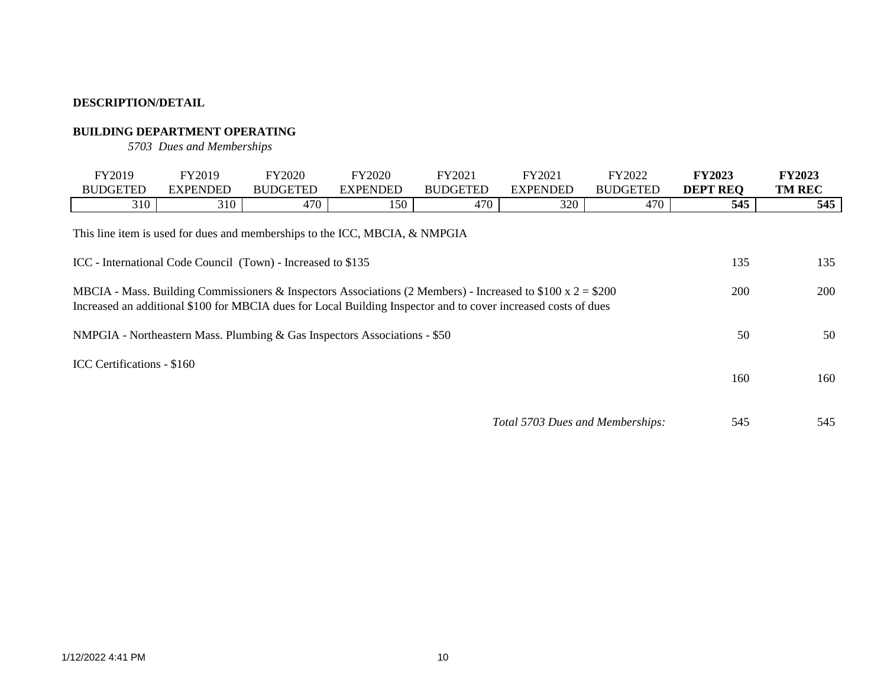### **BUILDING DEPARTMENT OPERATING**

*5703 Dues and Memberships*

| FY2019<br><b>BUDGETED</b>                                                                                                                                                                                                                    | FY2019<br><b>EXPENDED</b> | FY2020<br><b>BUDGETED</b>                                                   | FY2020<br><b>EXPENDED</b> | FY2021<br><b>BUDGETED</b> | FY2021<br><b>EXPENDED</b>        | FY2022<br><b>BUDGETED</b> | <b>FY2023</b><br><b>DEPT REQ</b> | <b>FY2023</b><br><b>TM REC</b> |  |
|----------------------------------------------------------------------------------------------------------------------------------------------------------------------------------------------------------------------------------------------|---------------------------|-----------------------------------------------------------------------------|---------------------------|---------------------------|----------------------------------|---------------------------|----------------------------------|--------------------------------|--|
| 310                                                                                                                                                                                                                                          | 310                       | 470                                                                         | 150                       | 470                       | 320                              | 470                       | 545                              | 545                            |  |
|                                                                                                                                                                                                                                              |                           | This line item is used for dues and memberships to the ICC, MBCIA, & NMPGIA |                           |                           |                                  |                           |                                  |                                |  |
|                                                                                                                                                                                                                                              |                           | ICC - International Code Council (Town) - Increased to \$135                |                           |                           |                                  |                           | 135                              | 135                            |  |
| MBCIA - Mass. Building Commissioners & Inspectors Associations (2 Members) - Increased to \$100 x $2 = $200$<br><b>200</b><br>Increased an additional \$100 for MBCIA dues for Local Building Inspector and to cover increased costs of dues |                           |                                                                             |                           |                           |                                  |                           |                                  |                                |  |
|                                                                                                                                                                                                                                              |                           |                                                                             |                           |                           |                                  |                           | 50                               | 50                             |  |
| NMPGIA - Northeastern Mass. Plumbing & Gas Inspectors Associations - \$50<br>ICC Certifications - \$160<br>160                                                                                                                               |                           |                                                                             |                           |                           |                                  |                           |                                  |                                |  |
|                                                                                                                                                                                                                                              |                           |                                                                             |                           |                           | Total 5703 Dues and Memberships: |                           | 545                              | 545                            |  |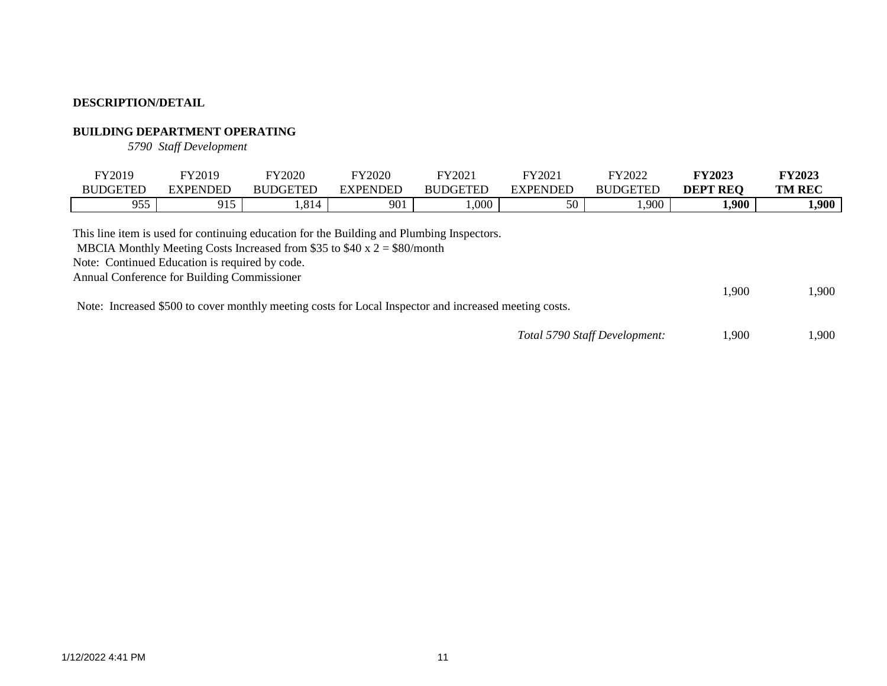### **BUILDING DEPARTMENT OPERATING**

*5790 Staff Development*

| FY2019<br><b>BUDGETED</b>                                                                                                                                                                  | FY2019<br><b>EXPENDED</b> | <b>FY2020</b><br><b>BUDGETED</b>                                           | FY2020<br><b>EXPENDED</b> | FY2021<br><b>BUDGETED</b> | FY2021<br><b>EXPENDED</b> | FY2022<br><b>BUDGETED</b> | <b>FY2023</b><br><b>DEPT REQ</b> | <b>FY2023</b><br><b>TM REC</b> |
|--------------------------------------------------------------------------------------------------------------------------------------------------------------------------------------------|---------------------------|----------------------------------------------------------------------------|---------------------------|---------------------------|---------------------------|---------------------------|----------------------------------|--------------------------------|
| 955                                                                                                                                                                                        | 915                       | 1,814                                                                      | 901                       | 000.                      | 50                        | 1,900                     | 1,900                            | 1,900                          |
| This line item is used for continuing education for the Building and Plumbing Inspectors.<br>Note: Continued Education is required by code.<br>Annual Conference for Building Commissioner |                           | MBCIA Monthly Meeting Costs Increased from \$35 to \$40 x $2 = $80/$ month |                           |                           |                           |                           | 1,900                            | .900                           |

Note: Increased \$500 to cover monthly meeting costs for Local Inspector and increased meeting costs.

| Total 5790 Staff Development: | 1,900 | 1,900 |
|-------------------------------|-------|-------|
|-------------------------------|-------|-------|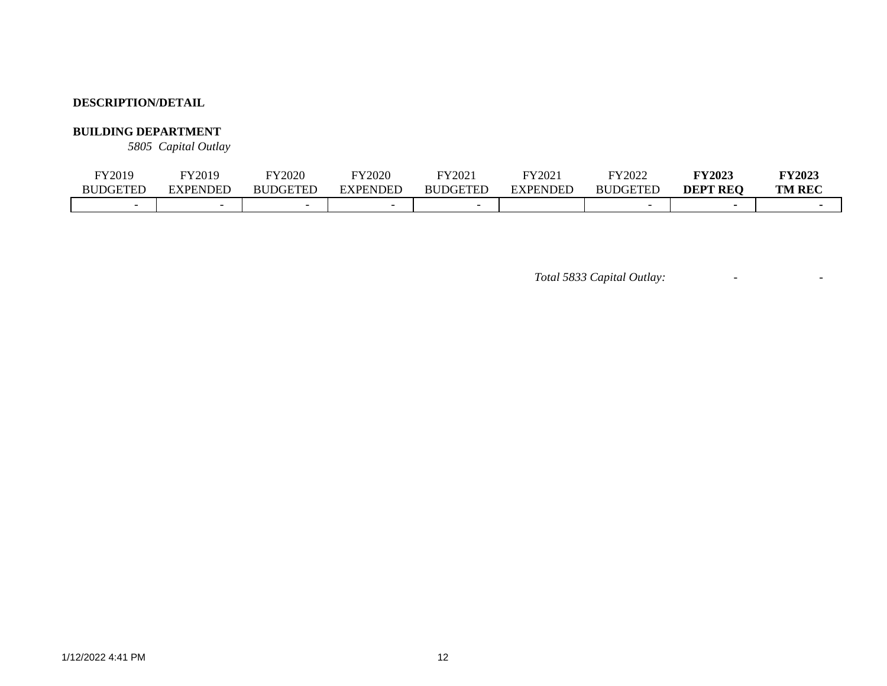### **BUILDING DEPARTMENT**

*5805 Capital Outlay*

| FY2019          | FY2019          | FY2020                   | <b>FY2020</b>            | FY2021          | FY2021          | FY2022               | <b>FY2023</b>      | <b>FY2023</b> |
|-----------------|-----------------|--------------------------|--------------------------|-----------------|-----------------|----------------------|--------------------|---------------|
| <b>BUDGETED</b> | <b>EXPENDED</b> | <b>BUDGETED</b>          | <b>EXPENDED</b>          | <b>BUDGETED</b> | <b>EXPENDED</b> | <b>DGETED</b><br>BUr | DEPT<br><b>REO</b> | <b>TM REC</b> |
|                 |                 | $\overline{\phantom{0}}$ | $\overline{\phantom{0}}$ |                 |                 |                      |                    |               |

*Total 5833 Capital Outlay:* - -